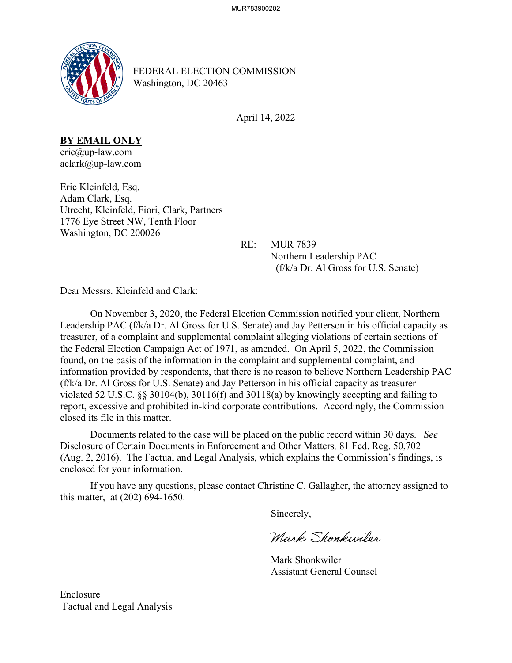

FEDERAL ELECTION COMMISSION Washington, DC 20463

April 14, 2022

## **BY EMAIL ONLY**

eric@up-law.com aclark@up-law.com

Eric Kleinfeld, Esq. Adam Clark, Esq. Utrecht, Kleinfeld, Fiori, Clark, Partners 1776 Eye Street NW, Tenth Floor Washington, DC 200026

RE: MUR 7839

 Northern Leadership PAC (f/k/a Dr. Al Gross for U.S. Senate)

Dear Messrs. Kleinfeld and Clark:

 On November 3, 2020, the Federal Election Commission notified your client, Northern Leadership PAC (f/k/a Dr. Al Gross for U.S. Senate) and Jay Petterson in his official capacity as treasurer, of a complaint and supplemental complaint alleging violations of certain sections of the Federal Election Campaign Act of 1971, as amended. On April 5, 2022, the Commission found, on the basis of the information in the complaint and supplemental complaint, and information provided by respondents, that there is no reason to believe Northern Leadership PAC (f/k/a Dr. Al Gross for U.S. Senate) and Jay Petterson in his official capacity as treasurer violated 52 U.S.C. §§ 30104(b), 30116(f) and 30118(a) by knowingly accepting and failing to report, excessive and prohibited in-kind corporate contributions. Accordingly, the Commission closed its file in this matter.

 Documents related to the case will be placed on the public record within 30 days. *See*  Disclosure of Certain Documents in Enforcement and Other Matters*,* 81 Fed. Reg. 50,702 (Aug. 2, 2016). The Factual and Legal Analysis, which explains the Commission's findings, is enclosed for your information.

 If you have any questions, please contact Christine C. Gallagher, the attorney assigned to this matter, at (202) 694-1650.

Sincerely,

Mark Shonkwiler

 Mark Shonkwiler Assistant General Counsel

Enclosure Factual and Legal Analysis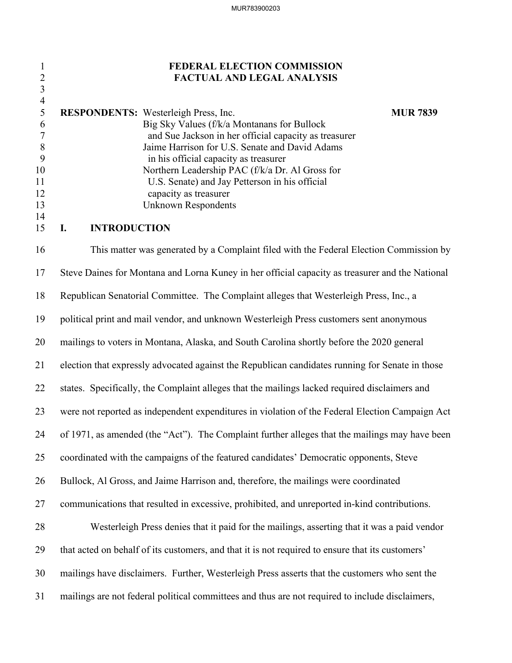# 1 **FEDERAL ELECTION COMMISSION** 2 **FACTUAL AND LEGAL ANALYSIS**

|    | <b>RESPONDENTS:</b> Westerleigh Press, Inc.           | <b>MUR 7839</b> |
|----|-------------------------------------------------------|-----------------|
| 6  | Big Sky Values (f/k/a Montanans for Bullock           |                 |
|    | and Sue Jackson in her official capacity as treasurer |                 |
|    | Jaime Harrison for U.S. Senate and David Adams        |                 |
|    | in his official capacity as treasurer                 |                 |
| 10 | Northern Leadership PAC (f/k/a Dr. Al Gross for       |                 |
| 11 | U.S. Senate) and Jay Petterson in his official        |                 |
| 12 | capacity as treasurer                                 |                 |
| 13 | Unknown Respondents                                   |                 |
| 14 |                                                       |                 |

## 15 **I. INTRODUCTION**

3 4

16 This matter was generated by a Complaint filed with the Federal Election Commission by 17 Steve Daines for Montana and Lorna Kuney in her official capacity as treasurer and the National 18 Republican Senatorial Committee. The Complaint alleges that Westerleigh Press, Inc., a 19 political print and mail vendor, and unknown Westerleigh Press customers sent anonymous 20 mailings to voters in Montana, Alaska, and South Carolina shortly before the 2020 general 21 election that expressly advocated against the Republican candidates running for Senate in those 22 states. Specifically, the Complaint alleges that the mailings lacked required disclaimers and 23 were not reported as independent expenditures in violation of the Federal Election Campaign Act 24 of 1971, as amended (the "Act"). The Complaint further alleges that the mailings may have been 25 coordinated with the campaigns of the featured candidates' Democratic opponents, Steve 26 Bullock, Al Gross, and Jaime Harrison and, therefore, the mailings were coordinated 27 communications that resulted in excessive, prohibited, and unreported in-kind contributions. 28 Westerleigh Press denies that it paid for the mailings, asserting that it was a paid vendor 29 that acted on behalf of its customers, and that it is not required to ensure that its customers' 30 mailings have disclaimers. Further, Westerleigh Press asserts that the customers who sent the 31 mailings are not federal political committees and thus are not required to include disclaimers,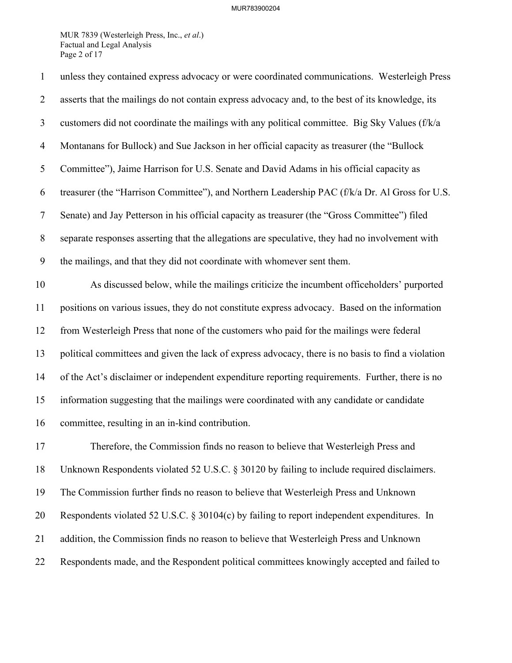### MUR783900204

MUR 7839 (Westerleigh Press, Inc., *et al*.) Factual and Legal Analysis Page 2 of 17

| $\mathbf{1}$     | unless they contained express advocacy or were coordinated communications. Westerleigh Press       |
|------------------|----------------------------------------------------------------------------------------------------|
| $\overline{2}$   | asserts that the mailings do not contain express advocacy and, to the best of its knowledge, its   |
| 3                | customers did not coordinate the mailings with any political committee. Big Sky Values (f/k/a      |
| $\overline{4}$   | Montanans for Bullock) and Sue Jackson in her official capacity as treasurer (the "Bullock         |
| 5                | Committee"), Jaime Harrison for U.S. Senate and David Adams in his official capacity as            |
| 6                | treasurer (the "Harrison Committee"), and Northern Leadership PAC (f/k/a Dr. Al Gross for U.S.     |
| $\tau$           | Senate) and Jay Petterson in his official capacity as treasurer (the "Gross Committee") filed      |
| $8\,$            | separate responses asserting that the allegations are speculative, they had no involvement with    |
| $\boldsymbol{9}$ | the mailings, and that they did not coordinate with whomever sent them.                            |
| 10               | As discussed below, while the mailings criticize the incumbent officeholders' purported            |
| 11               | positions on various issues, they do not constitute express advocacy. Based on the information     |
| 12               | from Westerleigh Press that none of the customers who paid for the mailings were federal           |
| 13               | political committees and given the lack of express advocacy, there is no basis to find a violation |
| 14               | of the Act's disclaimer or independent expenditure reporting requirements. Further, there is no    |
| 15               | information suggesting that the mailings were coordinated with any candidate or candidate          |
| 16               | committee, resulting in an in-kind contribution.                                                   |
| 17               | Therefore, the Commission finds no reason to believe that Westerleigh Press and                    |
| 18               | Unknown Respondents violated 52 U.S.C. § 30120 by failing to include required disclaimers.         |
| 19               | The Commission further finds no reason to believe that Westerleigh Press and Unknown               |
| 20               | Respondents violated 52 U.S.C. § 30104(c) by failing to report independent expenditures. In        |
| 21               | addition, the Commission finds no reason to believe that Westerleigh Press and Unknown             |
| 22               | Respondents made, and the Respondent political committees knowingly accepted and failed to         |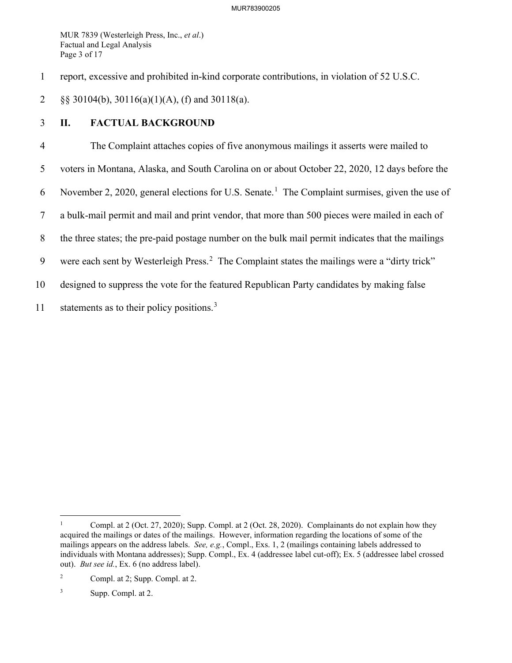MUR 7839 (Westerleigh Press, Inc., *et al*.) Factual and Legal Analysis Page 3 of 17

1 report, excessive and prohibited in-kind corporate contributions, in violation of 52 U.S.C.

2 §§ 30104(b), 30116(a)(1)(A), (f) and 30118(a).

# 3 **II. FACTUAL BACKGROUND**

4 The Complaint attaches copies of five anonymous mailings it asserts were mailed to 5 voters in Montana, Alaska, and South Carolina on or about October 22, 2020, 12 days before the 6 November 2, 2020, general elections for U.S. Senate.<sup>[1](#page-3-0)</sup> The Complaint surmises, given the use of 7 a bulk-mail permit and mail and print vendor, that more than 500 pieces were mailed in each of 8 the three states; the pre-paid postage number on the bulk mail permit indicates that the mailings 9 were each sent by Westerleigh Press.<sup>[2](#page-3-1)</sup> The Complaint states the mailings were a "dirty trick" 10 designed to suppress the vote for the featured Republican Party candidates by making false 11 statements as to their policy positions.<sup>[3](#page-3-2)</sup>

<span id="page-3-0"></span><sup>1</sup> Compl. at 2 (Oct. 27, 2020); Supp. Compl. at 2 (Oct. 28, 2020). Complainants do not explain how they acquired the mailings or dates of the mailings. However, information regarding the locations of some of the mailings appears on the address labels. *See, e.g.*, Compl., Exs. 1, 2 (mailings containing labels addressed to individuals with Montana addresses); Supp. Compl., Ex. 4 (addressee label cut-off); Ex. 5 (addressee label crossed out). *But see id.*, Ex. 6 (no address label).

<span id="page-3-1"></span><sup>2</sup> Compl. at 2; Supp. Compl. at 2.

<span id="page-3-2"></span><sup>3</sup> Supp. Compl. at 2.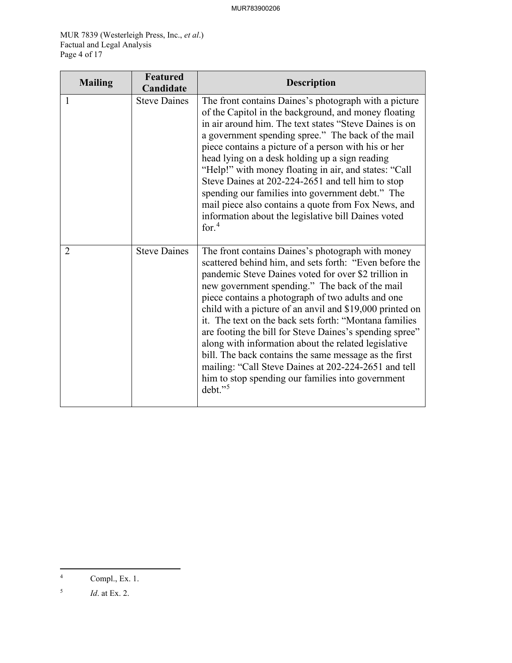MUR 7839 (Westerleigh Press, Inc., *et al*.) Factual and Legal Analysis Page 4 of 17

| <b>Mailing</b> | <b>Featured</b><br>Candidate | <b>Description</b>                                                                                                                                                                                                                                                                                                                                                                                                                                                                                                                                                                                                                                                                                      |
|----------------|------------------------------|---------------------------------------------------------------------------------------------------------------------------------------------------------------------------------------------------------------------------------------------------------------------------------------------------------------------------------------------------------------------------------------------------------------------------------------------------------------------------------------------------------------------------------------------------------------------------------------------------------------------------------------------------------------------------------------------------------|
| 1              | <b>Steve Daines</b>          | The front contains Daines's photograph with a picture<br>of the Capitol in the background, and money floating<br>in air around him. The text states "Steve Daines is on<br>a government spending spree." The back of the mail<br>piece contains a picture of a person with his or her<br>head lying on a desk holding up a sign reading<br>"Help!" with money floating in air, and states: "Call<br>Steve Daines at 202-224-2651 and tell him to stop<br>spending our families into government debt." The<br>mail piece also contains a quote from Fox News, and<br>information about the legislative bill Daines voted<br>for. $4$                                                                     |
| $\overline{2}$ | <b>Steve Daines</b>          | The front contains Daines's photograph with money<br>scattered behind him, and sets forth: "Even before the<br>pandemic Steve Daines voted for over \$2 trillion in<br>new government spending." The back of the mail<br>piece contains a photograph of two adults and one<br>child with a picture of an anvil and \$19,000 printed on<br>it. The text on the back sets forth: "Montana families"<br>are footing the bill for Steve Daines's spending spree"<br>along with information about the related legislative<br>bill. The back contains the same message as the first<br>mailing: "Call Steve Daines at 202-224-2651 and tell<br>him to stop spending our families into government<br>$debt.$ " |

<span id="page-4-0"></span><sup>4</sup> Compl., Ex. 1.

<span id="page-4-1"></span><sup>5</sup> *Id*. at Ex. 2.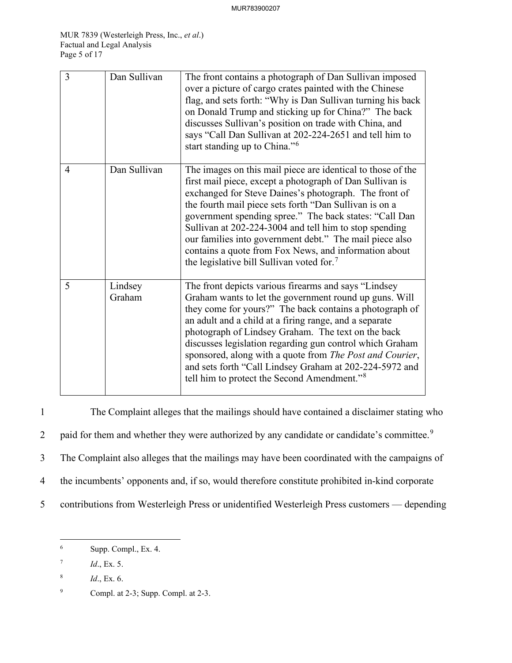| 3              | Dan Sullivan      | The front contains a photograph of Dan Sullivan imposed<br>over a picture of cargo crates painted with the Chinese<br>flag, and sets forth: "Why is Dan Sullivan turning his back<br>on Donald Trump and sticking up for China?" The back<br>discusses Sullivan's position on trade with China, and<br>says "Call Dan Sullivan at 202-224-2651 and tell him to<br>start standing up to China." <sup>6</sup>                                                                                                                                 |
|----------------|-------------------|---------------------------------------------------------------------------------------------------------------------------------------------------------------------------------------------------------------------------------------------------------------------------------------------------------------------------------------------------------------------------------------------------------------------------------------------------------------------------------------------------------------------------------------------|
| $\overline{4}$ | Dan Sullivan      | The images on this mail piece are identical to those of the<br>first mail piece, except a photograph of Dan Sullivan is<br>exchanged for Steve Daines's photograph. The front of<br>the fourth mail piece sets forth "Dan Sullivan is on a<br>government spending spree." The back states: "Call Dan<br>Sullivan at 202-224-3004 and tell him to stop spending<br>our families into government debt." The mail piece also<br>contains a quote from Fox News, and information about<br>the legislative bill Sullivan voted for. <sup>7</sup> |
| 5              | Lindsey<br>Graham | The front depicts various firearms and says "Lindsey<br>Graham wants to let the government round up guns. Will<br>they come for yours?" The back contains a photograph of<br>an adult and a child at a firing range, and a separate<br>photograph of Lindsey Graham. The text on the back<br>discusses legislation regarding gun control which Graham<br>sponsored, along with a quote from The Post and Courier,<br>and sets forth "Call Lindsey Graham at 202-224-5972 and<br>tell him to protect the Second Amendment." <sup>8</sup>     |

1 The Complaint alleges that the mailings should have contained a disclaimer stating who 2 paid for them and whether they were authorized by any candidate or candidate's committee.<sup>[9](#page-5-3)</sup> 3 The Complaint also alleges that the mailings may have been coordinated with the campaigns of 4 the incumbents' opponents and, if so, would therefore constitute prohibited in-kind corporate 5 contributions from Westerleigh Press or unidentified Westerleigh Press customers — depending

<span id="page-5-0"></span><sup>6</sup> Supp. Compl., Ex. 4.

<span id="page-5-1"></span><sup>7</sup> *Id*., Ex. 5.

<span id="page-5-2"></span><sup>8</sup> *Id*., Ex. 6.

<span id="page-5-3"></span><sup>9</sup> Compl. at 2-3; Supp. Compl. at 2-3.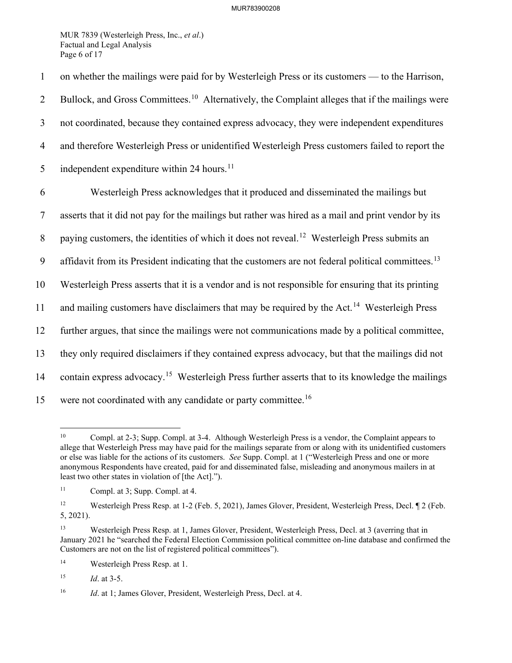MUR 7839 (Westerleigh Press, Inc., *et al*.) Factual and Legal Analysis Page 6 of 17

1 on whether the mailings were paid for by Westerleigh Press or its customers — to the Harrison, 2 Bullock, and Gross Committees.<sup>[10](#page-6-0)</sup> Alternatively, the Complaint alleges that if the mailings were 3 not coordinated, because they contained express advocacy, they were independent expenditures 4 and therefore Westerleigh Press or unidentified Westerleigh Press customers failed to report the 5 independent expenditure within 24 hours.<sup>[11](#page-6-1)</sup> 6 Westerleigh Press acknowledges that it produced and disseminated the mailings but 7 asserts that it did not pay for the mailings but rather was hired as a mail and print vendor by its 8 paying customers, the identities of which it does not reveal.<sup>[12](#page-6-2)</sup> Westerleigh Press submits an 9 affidavit from its President indicating that the customers are not federal political committees.<sup>[13](#page-6-3)</sup> 10 Westerleigh Press asserts that it is a vendor and is not responsible for ensuring that its printing 11 and mailing customers have disclaimers that may be required by the Act.<sup>[14](#page-6-4)</sup> Westerleigh Press 12 further argues, that since the mailings were not communications made by a political committee, 13 they only required disclaimers if they contained express advocacy, but that the mailings did not 14 contain express advocacy.<sup>[15](#page-6-5)</sup> Westerleigh Press further asserts that to its knowledge the mailings 15 were not coordinated with any candidate or party committee.<sup>[16](#page-6-6)</sup>

<span id="page-6-7"></span><span id="page-6-0"></span><sup>&</sup>lt;sup>10</sup> Compl. at 2-3; Supp. Compl. at 3-4. Although Westerleigh Press is a vendor, the Complaint appears to allege that Westerleigh Press may have paid for the mailings separate from or along with its unidentified customers or else was liable for the actions of its customers. *See* Supp. Compl. at 1 ("Westerleigh Press and one or more anonymous Respondents have created, paid for and disseminated false, misleading and anonymous mailers in at least two other states in violation of [the Act].").

<span id="page-6-1"></span><sup>11</sup> Compl. at 3; Supp. Compl. at 4.

<span id="page-6-2"></span><sup>&</sup>lt;sup>12</sup> Westerleigh Press Resp. at 1-2 (Feb. 5, 2021), James Glover, President, Westerleigh Press, Decl. ¶ 2 (Feb. 5, 2021).

<span id="page-6-3"></span><sup>13</sup> Westerleigh Press Resp. at 1, James Glover, President, Westerleigh Press, Decl. at 3 (averring that in January 2021 he "searched the Federal Election Commission political committee on-line database and confirmed the Customers are not on the list of registered political committees").

<span id="page-6-4"></span><sup>14</sup> Westerleigh Press Resp. at 1.

<span id="page-6-5"></span><sup>15</sup> *Id*. at 3-5.

<span id="page-6-6"></span><sup>&</sup>lt;sup>16</sup> *Id.* at 1; James Glover, President, Westerleigh Press, Decl. at 4.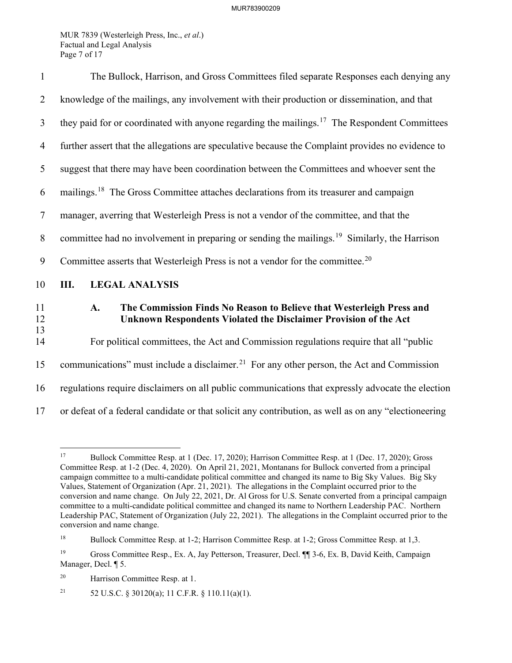MUR 7839 (Westerleigh Press, Inc., *et al*.) Factual and Legal Analysis Page 7 of 17

| $\mathbf{1}$   | The Bullock, Harrison, and Gross Committees filed separate Responses each denying any                                                          |
|----------------|------------------------------------------------------------------------------------------------------------------------------------------------|
| $\overline{2}$ | knowledge of the mailings, any involvement with their production or dissemination, and that                                                    |
| 3              | they paid for or coordinated with anyone regarding the mailings. <sup>17</sup> The Respondent Committees                                       |
| $\overline{4}$ | further assert that the allegations are speculative because the Complaint provides no evidence to                                              |
| 5              | suggest that there may have been coordination between the Committees and whoever sent the                                                      |
| 6              | mailings. <sup>18</sup> The Gross Committee attaches declarations from its treasurer and campaign                                              |
| $\tau$         | manager, averring that Westerleigh Press is not a vendor of the committee, and that the                                                        |
| 8              | committee had no involvement in preparing or sending the mailings. <sup>19</sup> Similarly, the Harrison                                       |
| 9              | Committee asserts that Westerleigh Press is not a vendor for the committee. <sup>20</sup>                                                      |
| 10             | Ш.<br><b>LEGAL ANALYSIS</b>                                                                                                                    |
| 11<br>12       | The Commission Finds No Reason to Believe that Westerleigh Press and<br>A.<br>Unknown Respondents Violated the Disclaimer Provision of the Act |
| 13<br>14       | For political committees, the Act and Commission regulations require that all "public                                                          |
| 15             | communications" must include a disclaimer. <sup>21</sup> For any other person, the Act and Commission                                          |
| 16             | regulations require disclaimers on all public communications that expressly advocate the election                                              |
| 17             | or defeat of a federal candidate or that solicit any contribution, as well as on any "electioneering                                           |

<span id="page-7-5"></span><span id="page-7-0"></span><sup>17</sup> Bullock Committee Resp. at 1 (Dec. 17, 2020); Harrison Committee Resp. at 1 (Dec. 17, 2020); Gross Committee Resp. at 1-2 (Dec. 4, 2020). On April 21, 2021, Montanans for Bullock converted from a principal campaign committee to a multi-candidate political committee and changed its name to Big Sky Values. Big Sky Values, Statement of Organization (Apr. 21, 2021). The allegations in the Complaint occurred prior to the conversion and name change. On July 22, 2021, Dr. Al Gross for U.S. Senate converted from a principal campaign committee to a multi-candidate political committee and changed its name to Northern Leadership PAC. Northern Leadership PAC, Statement of Organization (July 22, 2021). The allegations in the Complaint occurred prior to the conversion and name change.

<span id="page-7-1"></span><sup>&</sup>lt;sup>18</sup> Bullock Committee Resp. at 1-2; Harrison Committee Resp. at 1-2; Gross Committee Resp. at 1,3.

<span id="page-7-2"></span><sup>19</sup> Gross Committee Resp., Ex. A, Jay Petterson, Treasurer, Decl. ¶¶ 3-6, Ex. B, David Keith, Campaign Manager, Decl. ¶ 5.

<span id="page-7-3"></span><sup>20</sup> Harrison Committee Resp. at 1.

<span id="page-7-4"></span><sup>&</sup>lt;sup>21</sup> 52 U.S.C. § 30120(a); 11 C.F.R. § 110.11(a)(1).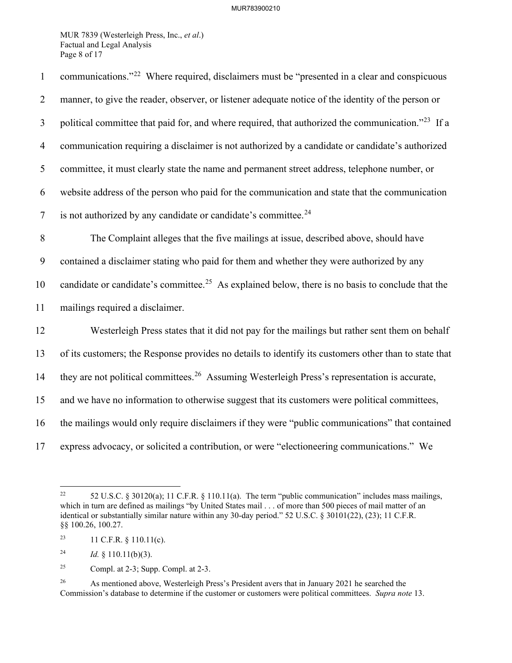### MUR783900210

MUR 7839 (Westerleigh Press, Inc., *et al*.) Factual and Legal Analysis Page 8 of 17

1 communications."<sup>[22](#page-8-0)</sup> Where required, disclaimers must be "presented in a clear and conspicuous 2 manner, to give the reader, observer, or listener adequate notice of the identity of the person or 3 political committee that paid for, and where required, that authorized the communication."<sup>[23](#page-8-1)</sup> If a 4 communication requiring a disclaimer is not authorized by a candidate or candidate's authorized 5 committee, it must clearly state the name and permanent street address, telephone number, or 6 website address of the person who paid for the communication and state that the communication  $\frac{1}{2}$  is not authorized by any candidate or candidate's committee.<sup>[24](#page-8-2)</sup> 8 The Complaint alleges that the five mailings at issue, described above, should have 9 contained a disclaimer stating who paid for them and whether they were authorized by any 10 candidate or candidate's committee.<sup>[25](#page-8-3)</sup> As explained below, there is no basis to conclude that the 11 mailings required a disclaimer. 12 Westerleigh Press states that it did not pay for the mailings but rather sent them on behalf 13 of its customers; the Response provides no details to identify its customers other than to state that 14 they are not political committees.<sup>[26](#page-8-4)</sup> Assuming Westerleigh Press's representation is accurate, 15 and we have no information to otherwise suggest that its customers were political committees, 16 the mailings would only require disclaimers if they were "public communications" that contained 17 express advocacy, or solicited a contribution, or were "electioneering communications." We

<span id="page-8-0"></span><sup>&</sup>lt;sup>22</sup> 52 U.S.C. § 30120(a); 11 C.F.R. § 110.11(a). The term "public communication" includes mass mailings, which in turn are defined as mailings "by United States mail . . . of more than 500 pieces of mail matter of an identical or substantially similar nature within any 30-day period." 52 U.S.C. § 30101(22), (23); 11 C.F.R. §§ 100.26, 100.27.

<span id="page-8-1"></span><sup>&</sup>lt;sup>23</sup> 11 C.F.R. § 110.11(c).

<span id="page-8-2"></span><sup>&</sup>lt;sup>24</sup> *Id.* § 110.11(b)(3).

<span id="page-8-3"></span><sup>&</sup>lt;sup>25</sup> Compl. at 2-3; Supp. Compl. at 2-3.

<span id="page-8-4"></span><sup>&</sup>lt;sup>26</sup> As mentioned above, Westerleigh Press's President avers that in January 2021 he searched the Commission's database to determine if the customer or customers were political committees. *Supra note* [13.](#page-6-7)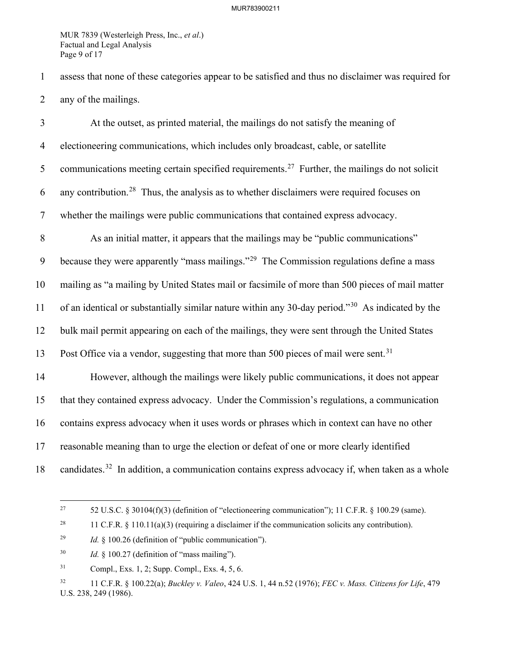MUR 7839 (Westerleigh Press, Inc., *et al*.) Factual and Legal Analysis Page 9 of 17

1 assess that none of these categories appear to be satisfied and thus no disclaimer was required for 2 any of the mailings.

3 At the outset, as printed material, the mailings do not satisfy the meaning of 4 electioneering communications, which includes only broadcast, cable, or satellite 5 communications meeting certain specified requirements.<sup>[27](#page-9-0)</sup> Further, the mailings do not solicit 6 any contribution.<sup>[28](#page-9-1)</sup> Thus, the analysis as to whether disclaimers were required focuses on 7 whether the mailings were public communications that contained express advocacy. 8 As an initial matter, it appears that the mailings may be "public communications" 9 because they were apparently "mass mailings."<sup>[29](#page-9-2)</sup> The Commission regulations define a mass 10 mailing as "a mailing by United States mail or facsimile of more than 500 pieces of mail matter 11 of an identical or substantially similar nature within any [30](#page-9-3)-day period."<sup>30</sup> As indicated by the 12 bulk mail permit appearing on each of the mailings, they were sent through the United States 13 Post Office via a vendor, suggesting that more than 500 pieces of mail were sent.<sup>[31](#page-9-4)</sup> 14 However, although the mailings were likely public communications, it does not appear 15 that they contained express advocacy. Under the Commission's regulations, a communication 16 contains express advocacy when it uses words or phrases which in context can have no other 17 reasonable meaning than to urge the election or defeat of one or more clearly identified 18 candidates.<sup>[32](#page-9-5)</sup> In addition, a communication contains express advocacy if, when taken as a whole

<span id="page-9-0"></span><sup>&</sup>lt;sup>27</sup> 52 U.S.C. § 30104(f)(3) (definition of "electioneering communication"); 11 C.F.R. § 100.29 (same).

<span id="page-9-1"></span><sup>&</sup>lt;sup>28</sup> 11 C.F.R. § 110.11(a)(3) (requiring a disclaimer if the communication solicits any contribution).

<span id="page-9-2"></span><sup>29</sup> *Id.* § 100.26 (definition of "public communication").

<span id="page-9-3"></span><sup>30</sup> *Id.* § 100.27 (definition of "mass mailing").

<span id="page-9-4"></span><sup>31</sup> Compl., Exs. 1, 2; Supp. Compl., Exs. 4, 5, 6.

<span id="page-9-5"></span><sup>32 11</sup> C.F.R. § 100.22(a); *Buckley v. Valeo*, 424 U.S. 1, 44 n.52 (1976); *FEC v. Mass. Citizens for Life*, 479 U.S. 238, 249 (1986).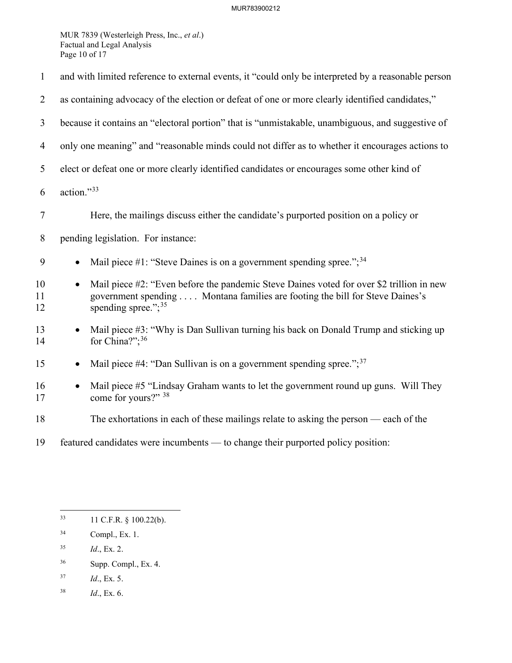MUR 7839 (Westerleigh Press, Inc., *et al*.) Factual and Legal Analysis Page 10 of 17

| $\mathbf{1}$   | and with limited reference to external events, it "could only be interpreted by a reasonable person                                                                                                             |  |
|----------------|-----------------------------------------------------------------------------------------------------------------------------------------------------------------------------------------------------------------|--|
| $\overline{2}$ | as containing advocacy of the election or defeat of one or more clearly identified candidates,"                                                                                                                 |  |
| 3              | because it contains an "electoral portion" that is "unmistakable, unambiguous, and suggestive of                                                                                                                |  |
| $\overline{4}$ | only one meaning" and "reasonable minds could not differ as to whether it encourages actions to                                                                                                                 |  |
| 5              | elect or defeat one or more clearly identified candidates or encourages some other kind of                                                                                                                      |  |
| 6              | action."33                                                                                                                                                                                                      |  |
| $\tau$         | Here, the mailings discuss either the candidate's purported position on a policy or                                                                                                                             |  |
| $8\,$          | pending legislation. For instance:                                                                                                                                                                              |  |
| 9              | Mail piece #1: "Steve Daines is on a government spending spree."; $34$<br>$\bullet$                                                                                                                             |  |
| 10<br>11<br>12 | Mail piece #2: "Even before the pandemic Steve Daines voted for over \$2 trillion in new<br>$\bullet$<br>government spending Montana families are footing the bill for Steve Daines's<br>spending spree."; $35$ |  |
| 13<br>14       | Mail piece #3: "Why is Dan Sullivan turning his back on Donald Trump and sticking up<br>for China?"; <sup>36</sup>                                                                                              |  |
| 15             | Mail piece #4: "Dan Sullivan is on a government spending spree."; $37$                                                                                                                                          |  |
| 16<br>17       | Mail piece #5 "Lindsay Graham wants to let the government round up guns. Will They<br>$\bullet$<br>come for yours?" 38                                                                                          |  |
| 18             | The exhortations in each of these mailings relate to asking the person — each of the                                                                                                                            |  |
| 19             | featured candidates were incumbents — to change their purported policy position:                                                                                                                                |  |

- <span id="page-10-2"></span>35 *Id*., Ex. 2.
- <span id="page-10-3"></span>36 Supp. Compl., Ex. 4.
- <span id="page-10-4"></span>37 *Id*., Ex. 5.
- <span id="page-10-5"></span>38 *Id*., Ex. 6.

<span id="page-10-0"></span><sup>33 11</sup> C.F.R. § 100.22(b).

<span id="page-10-1"></span><sup>34</sup> Compl., Ex. 1.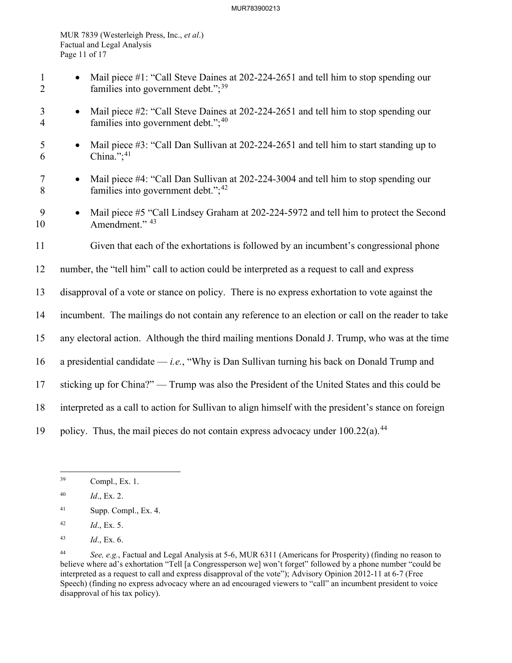### MUR783900213

MUR 7839 (Westerleigh Press, Inc., *et al*.) Factual and Legal Analysis Page 11 of 17

- 1 Mail piece #1: "Call Steve Daines at 202-224-2651 and tell him to stop spending our 2 families into government debt.";<sup>[39](#page-11-0)</sup>
- 3 Mail piece #2: "Call Steve Daines at 202-224-2651 and tell him to stop spending our 4 families into government debt."; $40$
- 5 Mail piece #3: "Call Dan Sullivan at 202-224-2651 and tell him to start standing up to 6 China."; $41$
- 7 Mail piece #4: "Call Dan Sullivan at 202-224-3004 and tell him to stop spending our 8 families into government debt.";<sup>[42](#page-11-3)</sup>
- 9 Mail piece #5 "Call Lindsey Graham at 202-224-5972 and tell him to protect the Second 10 Amendment." <sup>[43](#page-11-4)</sup>
- 11 Given that each of the exhortations is followed by an incumbent's congressional phone
- 12 number, the "tell him" call to action could be interpreted as a request to call and express
- 13 disapproval of a vote or stance on policy. There is no express exhortation to vote against the
- 14 incumbent. The mailings do not contain any reference to an election or call on the reader to take
- 15 any electoral action. Although the third mailing mentions Donald J. Trump, who was at the time
- 16 a presidential candidate *i.e.*, "Why is Dan Sullivan turning his back on Donald Trump and
- 17 sticking up for China?" Trump was also the President of the United States and this could be
- 18 interpreted as a call to action for Sullivan to align himself with the president's stance on foreign
- 19 policy. Thus, the mail pieces do not contain express advocacy under  $100.22(a)$ .<sup>[44](#page-11-5)</sup>

- <span id="page-11-2"></span>41 Supp. Compl., Ex. 4.
- <span id="page-11-3"></span>42 *Id*., Ex. 5.
- <span id="page-11-4"></span>43 *Id*., Ex. 6.

<span id="page-11-0"></span><sup>39</sup> Compl., Ex. 1.

<span id="page-11-1"></span><sup>40</sup> *Id*., Ex. 2.

<span id="page-11-5"></span><sup>44</sup> *See, e.g.*, Factual and Legal Analysis at 5-6, MUR 6311 (Americans for Prosperity) (finding no reason to believe where ad's exhortation "Tell [a Congressperson we] won't forget" followed by a phone number "could be interpreted as a request to call and express disapproval of the vote"); Advisory Opinion 2012-11 at 6-7 (Free Speech) (finding no express advocacy where an ad encouraged viewers to "call" an incumbent president to voice disapproval of his tax policy).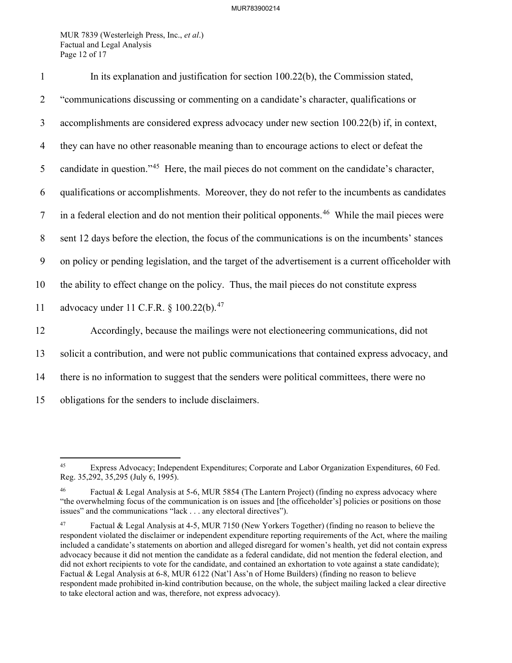MUR 7839 (Westerleigh Press, Inc., *et al*.) Factual and Legal Analysis Page 12 of 17

| $\mathbf{1}$   | In its explanation and justification for section 100.22(b), the Commission stated,                           |
|----------------|--------------------------------------------------------------------------------------------------------------|
| $\overline{2}$ | "communications discussing or commenting on a candidate's character, qualifications or                       |
| 3              | accomplishments are considered express advocacy under new section 100.22(b) if, in context,                  |
| $\overline{4}$ | they can have no other reasonable meaning than to encourage actions to elect or defeat the                   |
| 5              | candidate in question." <sup>45</sup> Here, the mail pieces do not comment on the candidate's character,     |
| 6              | qualifications or accomplishments. Moreover, they do not refer to the incumbents as candidates               |
| $\tau$         | in a federal election and do not mention their political opponents. <sup>46</sup> While the mail pieces were |
| $\,8\,$        | sent 12 days before the election, the focus of the communications is on the incumbents' stances              |
| 9              | on policy or pending legislation, and the target of the advertisement is a current officeholder with         |
| 10             | the ability to effect change on the policy. Thus, the mail pieces do not constitute express                  |
| 11             | advocacy under 11 C.F.R. § 100.22(b). <sup>47</sup>                                                          |
| 12             | Accordingly, because the mailings were not electioneering communications, did not                            |
| 13             | solicit a contribution, and were not public communications that contained express advocacy, and              |
| 14             | there is no information to suggest that the senders were political committees, there were no                 |
| 15             | obligations for the senders to include disclaimers.                                                          |

<span id="page-12-0"></span><sup>45</sup> Express Advocacy; Independent Expenditures; Corporate and Labor Organization Expenditures, 60 Fed. Reg. 35,292, 35,295 (July 6, 1995).

<span id="page-12-1"></span>Factual & Legal Analysis at 5-6, MUR 5854 (The Lantern Project) (finding no express advocacy where "the overwhelming focus of the communication is on issues and [the officeholder's] policies or positions on those issues" and the communications "lack . . . any electoral directives").

<span id="page-12-2"></span><sup>47</sup> Factual & Legal Analysis at 4-5, MUR 7150 (New Yorkers Together) (finding no reason to believe the respondent violated the disclaimer or independent expenditure reporting requirements of the Act, where the mailing included a candidate's statements on abortion and alleged disregard for women's health, yet did not contain express advocacy because it did not mention the candidate as a federal candidate, did not mention the federal election, and did not exhort recipients to vote for the candidate, and contained an exhortation to vote against a state candidate); Factual & Legal Analysis at 6-8, MUR 6122 (Nat'l Ass'n of Home Builders) (finding no reason to believe respondent made prohibited in-kind contribution because, on the whole, the subject mailing lacked a clear directive to take electoral action and was, therefore, not express advocacy).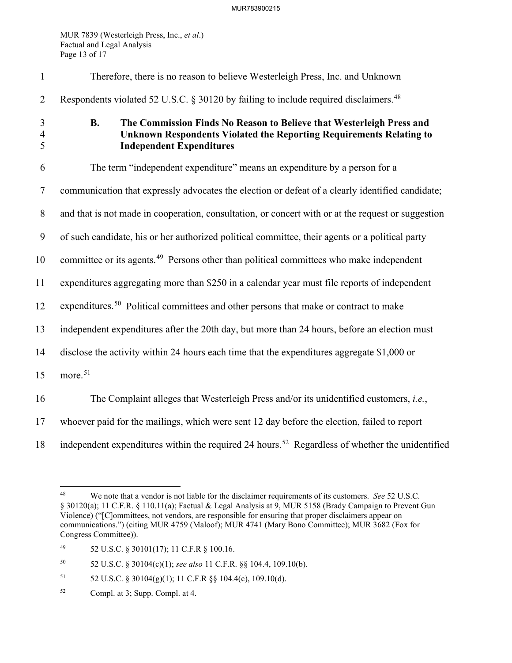MUR 7839 (Westerleigh Press, Inc., *et al*.) Factual and Legal Analysis Page 13 of 17

| $\mathbf{1}$             | Therefore, there is no reason to believe Westerleigh Press, Inc. and Unknown                                                                                                                |
|--------------------------|---------------------------------------------------------------------------------------------------------------------------------------------------------------------------------------------|
| $\overline{2}$           | Respondents violated 52 U.S.C. § 30120 by failing to include required disclaimers. <sup>48</sup>                                                                                            |
| 3<br>$\overline{4}$<br>5 | <b>B.</b><br>The Commission Finds No Reason to Believe that Westerleigh Press and<br>Unknown Respondents Violated the Reporting Requirements Relating to<br><b>Independent Expenditures</b> |
| 6                        | The term "independent expenditure" means an expenditure by a person for a                                                                                                                   |
| $\tau$                   | communication that expressly advocates the election or defeat of a clearly identified candidate;                                                                                            |
| $8\phantom{.}$           | and that is not made in cooperation, consultation, or concert with or at the request or suggestion                                                                                          |
| 9                        | of such candidate, his or her authorized political committee, their agents or a political party                                                                                             |
| 10                       | committee or its agents. <sup>49</sup> Persons other than political committees who make independent                                                                                         |
| 11                       | expenditures aggregating more than \$250 in a calendar year must file reports of independent                                                                                                |
| 12                       | expenditures. <sup>50</sup> Political committees and other persons that make or contract to make                                                                                            |
| 13                       | independent expenditures after the 20th day, but more than 24 hours, before an election must                                                                                                |
| 14                       | disclose the activity within 24 hours each time that the expenditures aggregate \$1,000 or                                                                                                  |
| 15                       | more. <sup>51</sup>                                                                                                                                                                         |
| 16                       | The Complaint alleges that Westerleigh Press and/or its unidentified customers, i.e.,                                                                                                       |
| 17                       | whoever paid for the mailings, which were sent 12 day before the election, failed to report                                                                                                 |
| 18                       | independent expenditures within the required 24 hours. <sup>52</sup> Regardless of whether the unidentified                                                                                 |

<span id="page-13-0"></span><sup>48</sup> We note that a vendor is not liable for the disclaimer requirements of its customers. *See* 52 U.S.C. § 30120(a); 11 C.F.R. § 110.11(a); Factual & Legal Analysis at 9, MUR 5158 (Brady Campaign to Prevent Gun Violence) ("[C]ommittees, not vendors, are responsible for ensuring that proper disclaimers appear on communications.") (citing MUR 4759 (Maloof); MUR 4741 (Mary Bono Committee); MUR 3682 (Fox for Congress Committee)).

<span id="page-13-1"></span><sup>49 52</sup> U.S.C. § 30101(17); 11 C.F.R § 100.16.

<span id="page-13-2"></span><sup>50 52</sup> U.S.C. § 30104(c)(1); *see also* 11 C.F.R. §§ 104.4, 109.10(b).

<span id="page-13-3"></span><sup>51 52</sup> U.S.C. § 30104(g)(1); 11 C.F.R §§ 104.4(c), 109.10(d).

<span id="page-13-4"></span><sup>52</sup> Compl. at 3; Supp. Compl. at 4.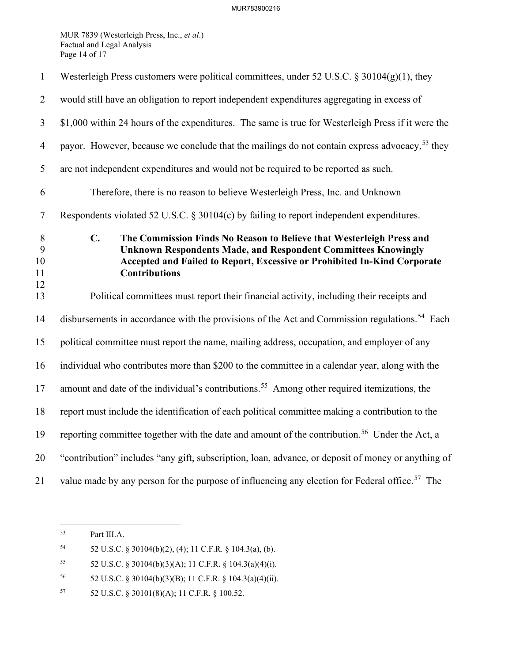MUR 7839 (Westerleigh Press, Inc., *et al*.) Factual and Legal Analysis Page 14 of 17

| $\mathbf{1}$             | Westerleigh Press customers were political committees, under 52 U.S.C. § 30104(g)(1), they                                                                                                                                                                         |
|--------------------------|--------------------------------------------------------------------------------------------------------------------------------------------------------------------------------------------------------------------------------------------------------------------|
| $\overline{2}$           | would still have an obligation to report independent expenditures aggregating in excess of                                                                                                                                                                         |
| $\mathfrak{Z}$           | \$1,000 within 24 hours of the expenditures. The same is true for Westerleigh Press if it were the                                                                                                                                                                 |
| $\overline{4}$           | payor. However, because we conclude that the mailings do not contain express advocacy, <sup>53</sup> they                                                                                                                                                          |
| 5                        | are not independent expenditures and would not be required to be reported as such.                                                                                                                                                                                 |
| 6                        | Therefore, there is no reason to believe Westerleigh Press, Inc. and Unknown                                                                                                                                                                                       |
| $\tau$                   | Respondents violated 52 U.S.C. § 30104(c) by failing to report independent expenditures.                                                                                                                                                                           |
| 8<br>9<br>10<br>11<br>12 | $\mathbf{C}$ .<br>The Commission Finds No Reason to Believe that Westerleigh Press and<br><b>Unknown Respondents Made, and Respondent Committees Knowingly</b><br>Accepted and Failed to Report, Excessive or Prohibited In-Kind Corporate<br><b>Contributions</b> |
| 13                       | Political committees must report their financial activity, including their receipts and                                                                                                                                                                            |
| 14                       | disbursements in accordance with the provisions of the Act and Commission regulations. <sup>54</sup> Each                                                                                                                                                          |
| 15                       | political committee must report the name, mailing address, occupation, and employer of any                                                                                                                                                                         |
| 16                       | individual who contributes more than \$200 to the committee in a calendar year, along with the                                                                                                                                                                     |
| 17                       | amount and date of the individual's contributions. <sup>55</sup> Among other required itemizations, the                                                                                                                                                            |
| 18                       | report must include the identification of each political committee making a contribution to the                                                                                                                                                                    |
| 19                       | reporting committee together with the date and amount of the contribution. <sup>56</sup> Under the Act, a                                                                                                                                                          |
| 20                       | "contribution" includes "any gift, subscription, loan, advance, or deposit of money or anything of                                                                                                                                                                 |
| 21                       | value made by any person for the purpose of influencing any election for Federal office. <sup>57</sup> The                                                                                                                                                         |

<span id="page-14-0"></span><sup>53</sup> Part III[.A.](#page-7-5) 

<span id="page-14-1"></span><sup>54 52</sup> U.S.C. § 30104(b)(2), (4); 11 C.F.R. § 104.3(a), (b).

<span id="page-14-2"></span><sup>55</sup> 52 U.S.C. § 30104(b)(3)(A); 11 C.F.R. § 104.3(a)(4)(i).

<span id="page-14-3"></span><sup>56 52</sup> U.S.C. § 30104(b)(3)(B); 11 C.F.R. § 104.3(a)(4)(ii).

<span id="page-14-4"></span><sup>57 52</sup> U.S.C. § 30101(8)(A); 11 C.F.R. § 100.52.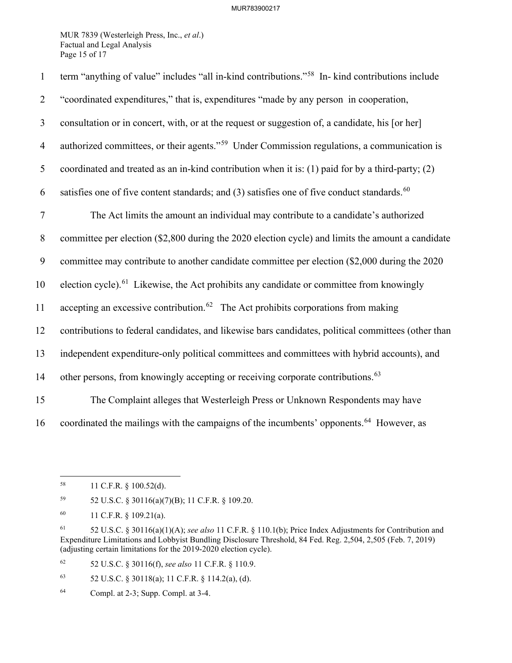MUR 7839 (Westerleigh Press, Inc., *et al*.) Factual and Legal Analysis Page 15 of 17

| $\mathbf{1}$   | term "anything of value" includes "all in-kind contributions." <sup>58</sup> In- kind contributions include |
|----------------|-------------------------------------------------------------------------------------------------------------|
| $\overline{2}$ | "coordinated expenditures," that is, expenditures "made by any person in cooperation,                       |
| $\mathfrak{Z}$ | consultation or in concert, with, or at the request or suggestion of, a candidate, his [or her]             |
| $\overline{4}$ | authorized committees, or their agents." <sup>59</sup> Under Commission regulations, a communication is     |
| 5              | coordinated and treated as an in-kind contribution when it is: (1) paid for by a third-party; (2)           |
| 6              | satisfies one of five content standards; and (3) satisfies one of five conduct standards. <sup>60</sup>     |
| $\tau$         | The Act limits the amount an individual may contribute to a candidate's authorized                          |
| $8\phantom{.}$ | committee per election (\$2,800 during the 2020 election cycle) and limits the amount a candidate           |
| 9              | committee may contribute to another candidate committee per election (\$2,000 during the 2020               |
| 10             | election cycle). <sup>61</sup> Likewise, the Act prohibits any candidate or committee from knowingly        |
| 11             | accepting an excessive contribution. <sup>62</sup> The Act prohibits corporations from making               |
| 12             | contributions to federal candidates, and likewise bars candidates, political committees (other than         |
| 13             | independent expenditure-only political committees and committees with hybrid accounts), and                 |
| 14             | other persons, from knowingly accepting or receiving corporate contributions. <sup>63</sup>                 |
| 15             | The Complaint alleges that Westerleigh Press or Unknown Respondents may have                                |
| 16             | coordinated the mailings with the campaigns of the incumbents' opponents. <sup>64</sup> However, as         |

<span id="page-15-1"></span>59 52 U.S.C. § 30116(a)(7)(B); 11 C.F.R. § 109.20.

<span id="page-15-4"></span>62 52 U.S.C. § 30116(f), *see also* 11 C.F.R. § 110.9.

<span id="page-15-5"></span>63 52 U.S.C. § 30118(a); 11 C.F.R. § 114.2(a), (d).

<span id="page-15-6"></span>64 Compl. at 2-3; Supp. Compl. at 3-4.

<span id="page-15-0"></span><sup>58 11</sup> C.F.R. § 100.52(d).

<span id="page-15-2"></span><sup>60 11</sup> C.F.R. § 109.21(a).

<span id="page-15-3"></span><sup>61 52</sup> U.S.C. § 30116(a)(1)(A); *see also* 11 C.F.R. § 110.1(b); Price Index Adjustments for Contribution and Expenditure Limitations and Lobbyist Bundling Disclosure Threshold, 84 Fed. Reg. 2,504, 2,505 (Feb. 7, 2019) (adjusting certain limitations for the 2019-2020 election cycle).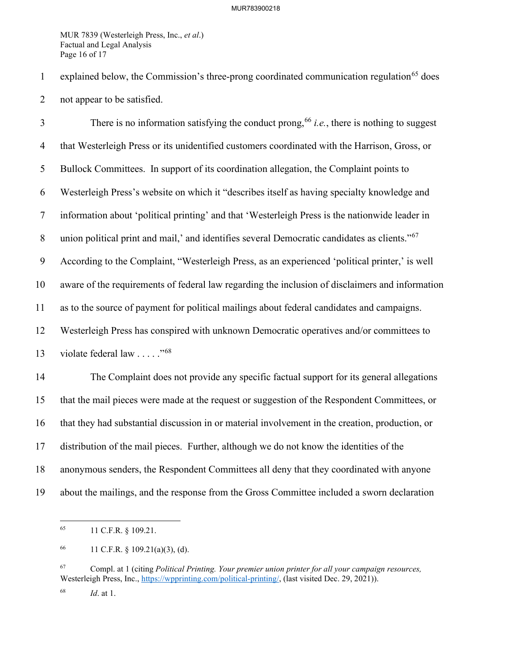MUR 7839 (Westerleigh Press, Inc., *et al*.) Factual and Legal Analysis Page 16 of 17

1 explained below, the Commission's three-prong coordinated communication regulation<sup>[65](#page-16-0)</sup> does 2 not appear to be satisfied.

There is no information satisfying the conduct prong,  $66$  *i.e.*, there is nothing to suggest 4 that Westerleigh Press or its unidentified customers coordinated with the Harrison, Gross, or 5 Bullock Committees. In support of its coordination allegation, the Complaint points to 6 Westerleigh Press's website on which it "describes itself as having specialty knowledge and 7 information about 'political printing' and that 'Westerleigh Press is the nationwide leader in 8 union political print and mail,' and identifies several Democratic candidates as clients."<sup>[67](#page-16-2)</sup> 9 According to the Complaint, "Westerleigh Press, as an experienced 'political printer,' is well 10 aware of the requirements of federal law regarding the inclusion of disclaimers and information 11 as to the source of payment for political mailings about federal candidates and campaigns. 12 Westerleigh Press has conspired with unknown Democratic operatives and/or committees to 13 violate federal law  $\ldots$  ."<sup>[68](#page-16-3)</sup> 14 The Complaint does not provide any specific factual support for its general allegations 15 that the mail pieces were made at the request or suggestion of the Respondent Committees, or 16 that they had substantial discussion in or material involvement in the creation, production, or 17 distribution of the mail pieces. Further, although we do not know the identities of the 18 anonymous senders, the Respondent Committees all deny that they coordinated with anyone

<span id="page-16-0"></span>19 about the mailings, and the response from the Gross Committee included a sworn declaration

<sup>65 11</sup> C.F.R. § 109.21.

<span id="page-16-1"></span><sup>66 11</sup> C.F.R.  $\S$  109.21(a)(3), (d).

<span id="page-16-2"></span><sup>67</sup> Compl. at 1 (citing *Political Printing. Your premier union printer for all your campaign resources,* Westerleigh Press, Inc., [https://wpprinting.com/political-printing/,](https://wpprinting.com/political-printing/) (last visited Dec. 29, 2021)).

<span id="page-16-3"></span><sup>68</sup> *Id*. at 1.